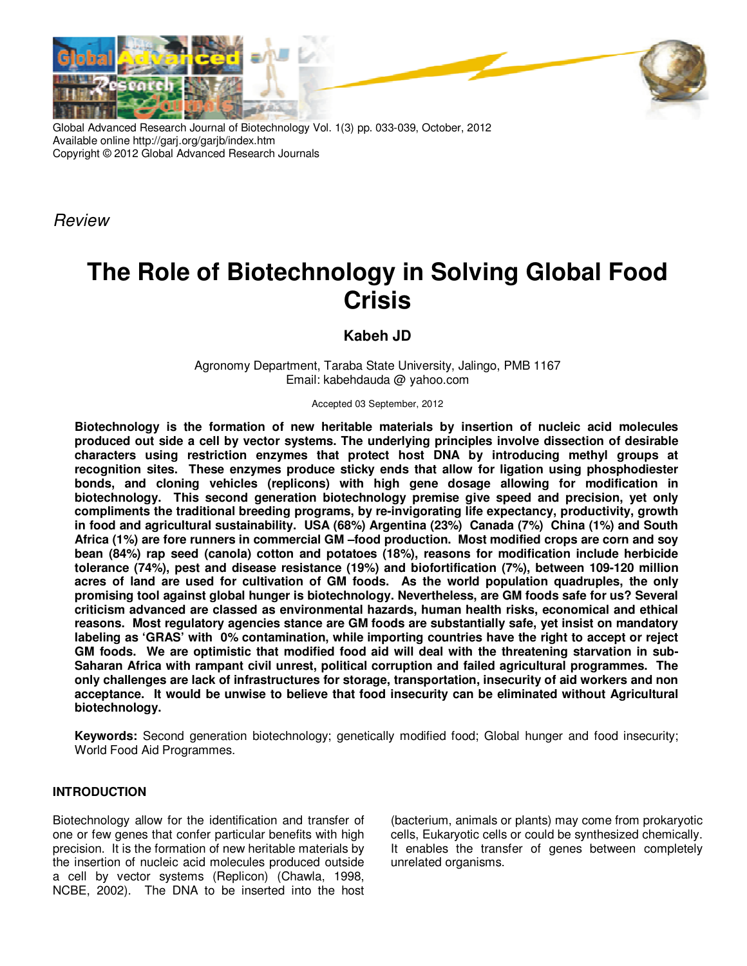

Global Advanced Research Journal of Biotechnology Vol. 1(3) pp. 033-039, October, 2012 Available online http://garj.org/garjb/index.htm Copyright © 2012 Global Advanced Research Journals

Review

# **The Role of Biotechnology in Solving Global Food Crisis**

**Kabeh JD** 

Agronomy Department, Taraba State University, Jalingo, PMB 1167 Email: kabehdauda @ yahoo.com

Accepted 03 September, 2012

**Biotechnology is the formation of new heritable materials by insertion of nucleic acid molecules produced out side a cell by vector systems. The underlying principles involve dissection of desirable characters using restriction enzymes that protect host DNA by introducing methyl groups at recognition sites. These enzymes produce sticky ends that allow for ligation using phosphodiester bonds, and cloning vehicles (replicons) with high gene dosage allowing for modification in biotechnology. This second generation biotechnology premise give speed and precision, yet only compliments the traditional breeding programs, by re-invigorating life expectancy, productivity, growth in food and agricultural sustainability. USA (68%) Argentina (23%) Canada (7%) China (1%) and South Africa (1%) are fore runners in commercial GM –food production. Most modified crops are corn and soy bean (84%) rap seed (canola) cotton and potatoes (18%), reasons for modification include herbicide tolerance (74%), pest and disease resistance (19%) and biofortification (7%), between 109-120 million acres of land are used for cultivation of GM foods. As the world population quadruples, the only promising tool against global hunger is biotechnology. Nevertheless, are GM foods safe for us? Several criticism advanced are classed as environmental hazards, human health risks, economical and ethical reasons. Most regulatory agencies stance are GM foods are substantially safe, yet insist on mandatory labeling as 'GRAS' with 0% contamination, while importing countries have the right to accept or reject GM foods. We are optimistic that modified food aid will deal with the threatening starvation in sub-Saharan Africa with rampant civil unrest, political corruption and failed agricultural programmes. The only challenges are lack of infrastructures for storage, transportation, insecurity of aid workers and non acceptance. It would be unwise to believe that food insecurity can be eliminated without Agricultural biotechnology.** 

**Keywords:** Second generation biotechnology; genetically modified food; Global hunger and food insecurity; World Food Aid Programmes.

## **INTRODUCTION**

Biotechnology allow for the identification and transfer of one or few genes that confer particular benefits with high precision. It is the formation of new heritable materials by the insertion of nucleic acid molecules produced outside a cell by vector systems (Replicon) (Chawla, 1998, NCBE, 2002). The DNA to be inserted into the host

(bacterium, animals or plants) may come from prokaryotic cells, Eukaryotic cells or could be synthesized chemically. It enables the transfer of genes between completely unrelated organisms.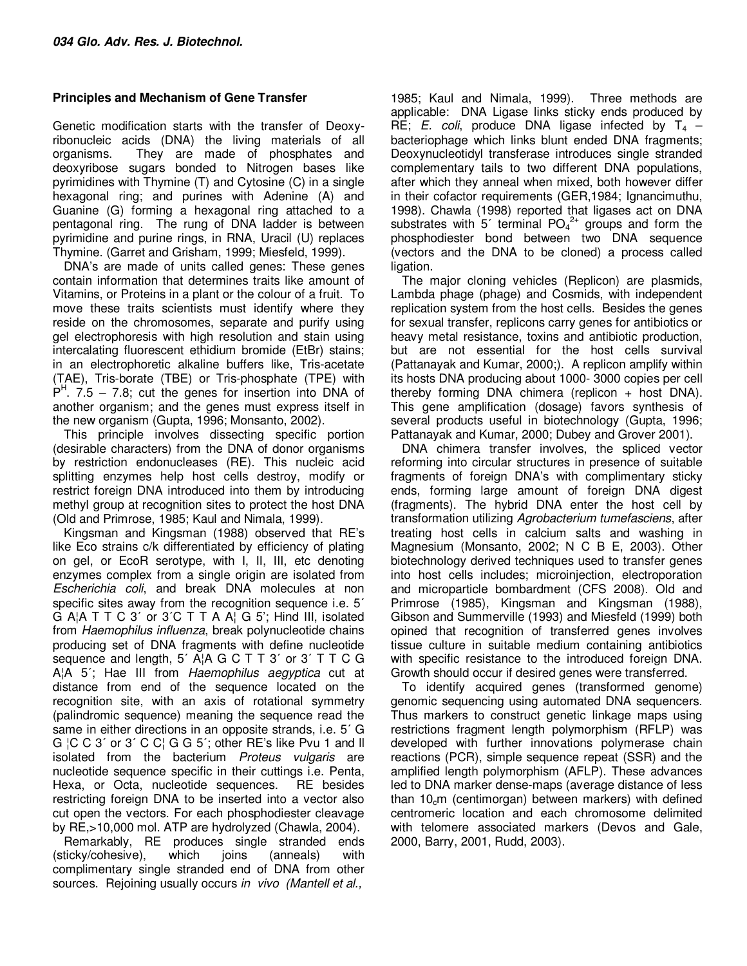# **Principles and Mechanism of Gene Transfer**

Genetic modification starts with the transfer of Deoxyribonucleic acids (DNA) the living materials of all organisms. They are made of phosphates and deoxyribose sugars bonded to Nitrogen bases like pyrimidines with Thymine (T) and Cytosine (C) in a single hexagonal ring; and purines with Adenine (A) and Guanine (G) forming a hexagonal ring attached to a pentagonal ring. The rung of DNA ladder is between pyrimidine and purine rings, in RNA, Uracil (U) replaces Thymine. (Garret and Grisham, 1999; Miesfeld, 1999).

DNA's are made of units called genes: These genes contain information that determines traits like amount of Vitamins, or Proteins in a plant or the colour of a fruit. To move these traits scientists must identify where they reside on the chromosomes, separate and purify using gel electrophoresis with high resolution and stain using intercalating fluorescent ethidium bromide (EtBr) stains; in an electrophoretic alkaline buffers like, Tris-acetate (TAE), Tris-borate (TBE) or Tris-phosphate (TPE) with  $P<sup>H</sup>$ . 7.5 – 7.8; cut the genes for insertion into DNA of another organism; and the genes must express itself in the new organism (Gupta, 1996; Monsanto, 2002).

This principle involves dissecting specific portion (desirable characters) from the DNA of donor organisms by restriction endonucleases (RE). This nucleic acid splitting enzymes help host cells destroy, modify or restrict foreign DNA introduced into them by introducing methyl group at recognition sites to protect the host DNA (Old and Primrose, 1985; Kaul and Nimala, 1999).

Kingsman and Kingsman (1988) observed that RE's like Eco strains c/k differentiated by efficiency of plating on gel, or EcoR serotype, with I, II, III, etc denoting enzymes complex from a single origin are isolated from Escherichia coli, and break DNA molecules at non specific sites away from the recognition sequence i.e. 5<sup>7</sup> G A¦A T T C 3' or 3'C T T A A¦ G 5'; Hind III, isolated from Haemophilus influenza, break polynucleotide chains producing set of DNA fragments with define nucleotide sequence and length, 5΄ A¦A G C T T 3΄ or 3΄ T T C G A¦A 5<sup>'</sup>; Hae III from *Haemophilus aegyptica* cut at distance from end of the sequence located on the recognition site, with an axis of rotational symmetry (palindromic sequence) meaning the sequence read the same in either directions in an opposite strands, i.e. 5΄ G G ¦C C 3΄ or 3΄ C C¦ G G 5΄; other RE's like Pvu 1 and ll isolated from the bacterium Proteus vulgaris are nucleotide sequence specific in their cuttings i.e. Penta, Hexa, or Octa, nucleotide sequences. RE besides restricting foreign DNA to be inserted into a vector also cut open the vectors. For each phosphodiester cleavage by RE,>10,000 mol. ATP are hydrolyzed (Chawla, 2004).

Remarkably, RE produces single stranded ends (sticky/cohesive), which joins (anneals) with complimentary single stranded end of DNA from other sources. Rejoining usually occurs in vivo (Mantell et al.,

1985; Kaul and Nimala, 1999). Three methods are applicable: DNA Ligase links sticky ends produced by RE; E. coli, produce DNA ligase infected by  $T_4$  – bacteriophage which links blunt ended DNA fragments; Deoxynucleotidyl transferase introduces single stranded complementary tails to two different DNA populations, after which they anneal when mixed, both however differ in their cofactor requirements (GER,1984; Ignancimuthu, 1998). Chawla (1998) reported that ligases act on DNA substrates with  $5'$  terminal PO<sub>4</sub><sup>2+</sup> groups and form the phosphodiester bond between two DNA sequence (vectors and the DNA to be cloned) a process called ligation.

The major cloning vehicles (Replicon) are plasmids, Lambda phage (phage) and Cosmids, with independent replication system from the host cells. Besides the genes for sexual transfer, replicons carry genes for antibiotics or heavy metal resistance, toxins and antibiotic production, but are not essential for the host cells survival (Pattanayak and Kumar, 2000;). A replicon amplify within its hosts DNA producing about 1000- 3000 copies per cell thereby forming DNA chimera (replicon  $+$  host DNA). This gene amplification (dosage) favors synthesis of several products useful in biotechnology (Gupta, 1996; Pattanayak and Kumar, 2000; Dubey and Grover 2001).

DNA chimera transfer involves, the spliced vector reforming into circular structures in presence of suitable fragments of foreign DNA's with complimentary sticky ends, forming large amount of foreign DNA digest (fragments). The hybrid DNA enter the host cell by transformation utilizing Agrobacterium tumefasciens, after treating host cells in calcium salts and washing in Magnesium (Monsanto, 2002; N C B E, 2003). Other biotechnology derived techniques used to transfer genes into host cells includes; microinjection, electroporation and microparticle bombardment (CFS 2008). Old and Primrose (1985), Kingsman and Kingsman (1988), Gibson and Summerville (1993) and Miesfeld (1999) both opined that recognition of transferred genes involves tissue culture in suitable medium containing antibiotics with specific resistance to the introduced foreign DNA. Growth should occur if desired genes were transferred.

To identify acquired genes (transformed genome) genomic sequencing using automated DNA sequencers. Thus markers to construct genetic linkage maps using restrictions fragment length polymorphism (RFLP) was developed with further innovations polymerase chain reactions (PCR), simple sequence repeat (SSR) and the amplified length polymorphism (AFLP). These advances led to DNA marker dense-maps (average distance of less than  $10<sub>c</sub>$ m (centimorgan) between markers) with defined centromeric location and each chromosome delimited with telomere associated markers (Devos and Gale, 2000, Barry, 2001, Rudd, 2003).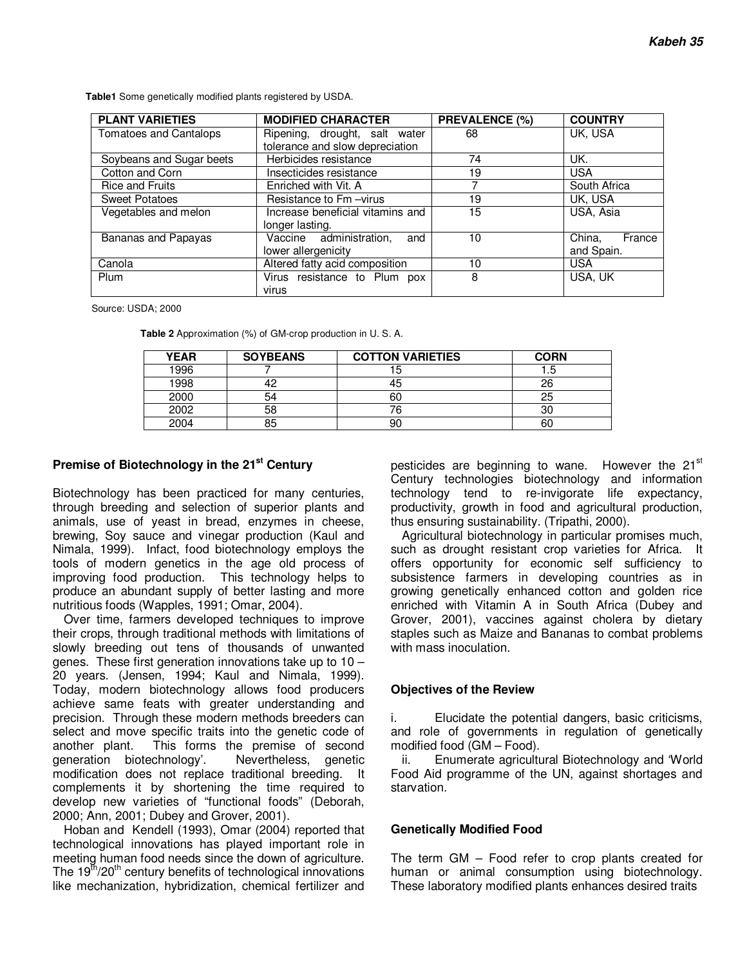**PLANT VARIETIES MODIFIED CHARACTER PREVALENCE (%) COUNTRY** Ripening, drought, salt water tolerance and slow depreciation 68 UK, USA Soybeans and Sugar beets Herbicides resistance 74 UK. Cotton and Corn **Insecticides resistance** 19 USA<br>
Rice and Fruits Enriched with Vit. A 7 South Africa Rice and Fruits **Enriched with Vit. A** Sweet Potatoes **Resistance to Fm –virus** 19 19 UK, USA Vegetables and melon Increase beneficial vitamins and longer lasting. 15 USA, Asia Bananas and Papayas | Vaccine administration, and lower allergenicity 10 China, France and Spain. Canola **Altered fatty acid composition** 10 USA Plum Plum Virus resistance to Plum pox virus 8 USA, UK

**Table1** Some genetically modified plants registered by USDA.

Source: USDA; 2000

**Table 2** Approximation (%) of GM-crop production in U. S. A.

| <b>YEAR</b> | <b>SOYBEANS</b> | <b>COTTON VARIETIES</b> | <b>CORN</b> |
|-------------|-----------------|-------------------------|-------------|
| 1996        |                 | ю                       | כ. ו        |
| 1998        |                 | 45                      | 26          |
| 2000        | 54              | 60                      | 25          |
| 2002        | 58              |                         | 30          |
| 2004        | 85              | 90                      | 60          |

#### **Premise of Biotechnology in the 21st Century**

Biotechnology has been practiced for many centuries, through breeding and selection of superior plants and animals, use of yeast in bread, enzymes in cheese, brewing, Soy sauce and vinegar production (Kaul and Nimala, 1999). Infact, food biotechnology employs the tools of modern genetics in the age old process of improving food production. This technology helps to produce an abundant supply of better lasting and more nutritious foods (Wapples, 1991; Omar, 2004).

Over time, farmers developed techniques to improve their crops, through traditional methods with limitations of slowly breeding out tens of thousands of unwanted genes. These first generation innovations take up to 10 – 20 years. (Jensen, 1994; Kaul and Nimala, 1999). Today, modern biotechnology allows food producers achieve same feats with greater understanding and precision. Through these modern methods breeders can select and move specific traits into the genetic code of another plant. This forms the premise of second generation biotechnology'. Nevertheless, genetic modification does not replace traditional breeding. It complements it by shortening the time required to develop new varieties of "functional foods" (Deborah, 2000; Ann, 2001; Dubey and Grover, 2001).

Hoban and Kendell (1993), Omar (2004) reported that technological innovations has played important role in meeting human food needs since the down of agriculture. The  $19<sup>th</sup>/20<sup>th</sup>$  century benefits of technological innovations like mechanization, hybridization, chemical fertilizer and pesticides are beginning to wane. However the 21<sup>st</sup> Century technologies biotechnology and information technology tend to re-invigorate life expectancy, productivity, growth in food and agricultural production, thus ensuring sustainability. (Tripathi, 2000).

Agricultural biotechnology in particular promises much, such as drought resistant crop varieties for Africa. It offers opportunity for economic self sufficiency to subsistence farmers in developing countries as in growing genetically enhanced cotton and golden rice enriched with Vitamin A in South Africa (Dubey and Grover, 2001), vaccines against cholera by dietary staples such as Maize and Bananas to combat problems with mass inoculation.

#### **Objectives of the Review**

i. Elucidate the potential dangers, basic criticisms, and role of governments in regulation of genetically modified food (GM – Food).

ii. Enumerate agricultural Biotechnology and 'World Food Aid programme of the UN, against shortages and starvation.

#### **Genetically Modified Food**

The term GM – Food refer to crop plants created for human or animal consumption using biotechnology. These laboratory modified plants enhances desired traits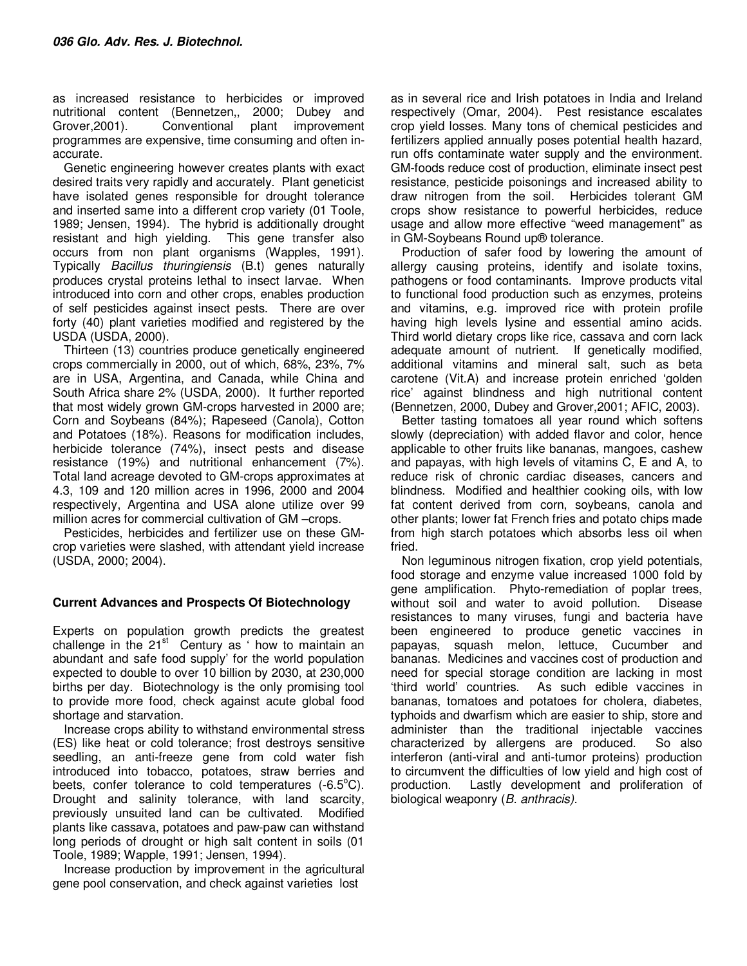as increased resistance to herbicides or improved nutritional content (Bennetzen,, 2000; Dubey and Grover,2001). Conventional plant improvement programmes are expensive, time consuming and often inaccurate.

Genetic engineering however creates plants with exact desired traits very rapidly and accurately. Plant geneticist have isolated genes responsible for drought tolerance and inserted same into a different crop variety (01 Toole, 1989; Jensen, 1994). The hybrid is additionally drought resistant and high yielding. This gene transfer also occurs from non plant organisms (Wapples, 1991). Typically Bacillus thuringiensis (B.t) genes naturally produces crystal proteins lethal to insect larvae. When introduced into corn and other crops, enables production of self pesticides against insect pests. There are over forty (40) plant varieties modified and registered by the USDA (USDA, 2000).

Thirteen (13) countries produce genetically engineered crops commercially in 2000, out of which, 68%, 23%, 7% are in USA, Argentina, and Canada, while China and South Africa share 2% (USDA, 2000). It further reported that most widely grown GM-crops harvested in 2000 are; Corn and Soybeans (84%); Rapeseed (Canola), Cotton and Potatoes (18%). Reasons for modification includes, herbicide tolerance (74%), insect pests and disease resistance (19%) and nutritional enhancement (7%). Total land acreage devoted to GM-crops approximates at 4.3, 109 and 120 million acres in 1996, 2000 and 2004 respectively, Argentina and USA alone utilize over 99 million acres for commercial cultivation of GM –crops.

Pesticides, herbicides and fertilizer use on these GMcrop varieties were slashed, with attendant yield increase (USDA, 2000; 2004).

## **Current Advances and Prospects Of Biotechnology**

Experts on population growth predicts the greatest challenge in the  $21<sup>st</sup>$  Century as ' how to maintain an abundant and safe food supply' for the world population expected to double to over 10 billion by 2030, at 230,000 births per day. Biotechnology is the only promising tool to provide more food, check against acute global food shortage and starvation.

Increase crops ability to withstand environmental stress (ES) like heat or cold tolerance; frost destroys sensitive seedling, an anti-freeze gene from cold water fish introduced into tobacco, potatoes, straw berries and beets, confer tolerance to cold temperatures  $(-6.5^{\circ}C)$ . Drought and salinity tolerance, with land scarcity, previously unsuited land can be cultivated. Modified plants like cassava, potatoes and paw-paw can withstand long periods of drought or high salt content in soils (01 Toole, 1989; Wapple, 1991; Jensen, 1994).

Increase production by improvement in the agricultural gene pool conservation, and check against varieties lost

as in several rice and Irish potatoes in India and Ireland respectively (Omar, 2004). Pest resistance escalates crop yield losses. Many tons of chemical pesticides and fertilizers applied annually poses potential health hazard, run offs contaminate water supply and the environment. GM-foods reduce cost of production, eliminate insect pest resistance, pesticide poisonings and increased ability to draw nitrogen from the soil. Herbicides tolerant GM crops show resistance to powerful herbicides, reduce usage and allow more effective "weed management" as in GM-Soybeans Round up® tolerance.

Production of safer food by lowering the amount of allergy causing proteins, identify and isolate toxins, pathogens or food contaminants. Improve products vital to functional food production such as enzymes, proteins and vitamins, e.g. improved rice with protein profile having high levels lysine and essential amino acids. Third world dietary crops like rice, cassava and corn lack adequate amount of nutrient. If genetically modified, additional vitamins and mineral salt, such as beta carotene (Vit.A) and increase protein enriched 'golden rice' against blindness and high nutritional content (Bennetzen, 2000, Dubey and Grover,2001; AFIC, 2003).

Better tasting tomatoes all year round which softens slowly (depreciation) with added flavor and color, hence applicable to other fruits like bananas, mangoes, cashew and papayas, with high levels of vitamins C, E and A, to reduce risk of chronic cardiac diseases, cancers and blindness. Modified and healthier cooking oils, with low fat content derived from corn, soybeans, canola and other plants; lower fat French fries and potato chips made from high starch potatoes which absorbs less oil when fried.

Non leguminous nitrogen fixation, crop yield potentials, food storage and enzyme value increased 1000 fold by gene amplification. Phyto-remediation of poplar trees, without soil and water to avoid pollution. Disease resistances to many viruses, fungi and bacteria have been engineered to produce genetic vaccines in papayas, squash melon, lettuce, Cucumber and bananas. Medicines and vaccines cost of production and need for special storage condition are lacking in most 'third world' countries. As such edible vaccines in bananas, tomatoes and potatoes for cholera, diabetes, typhoids and dwarfism which are easier to ship, store and administer than the traditional injectable vaccines characterized by allergens are produced. So also interferon (anti-viral and anti-tumor proteins) production to circumvent the difficulties of low yield and high cost of production. Lastly development and proliferation of biological weaponry (B. anthracis).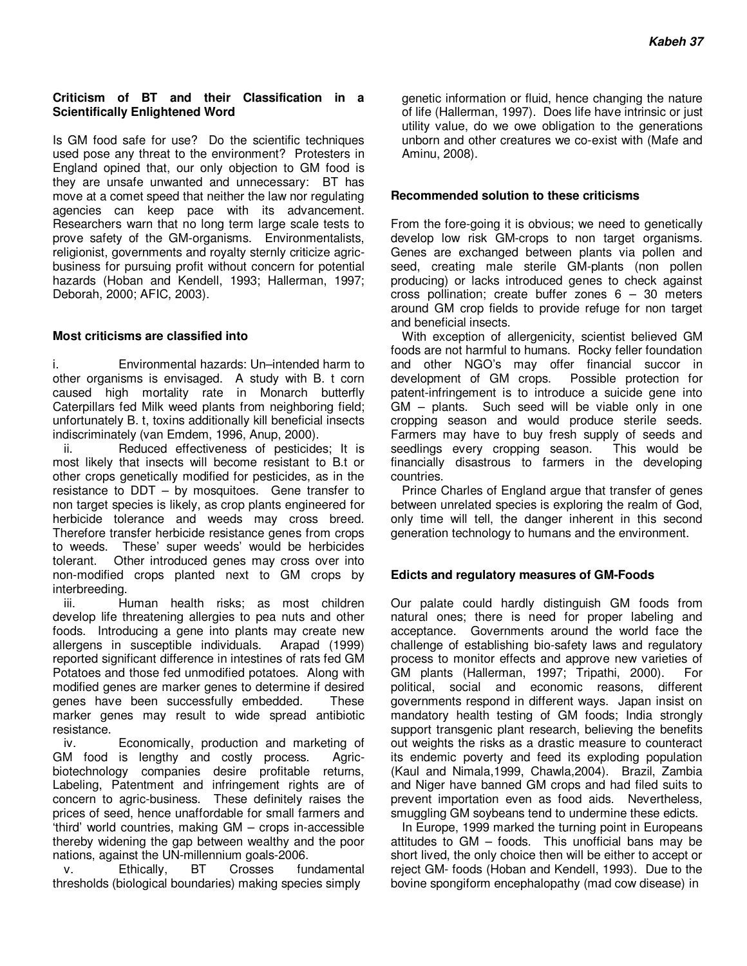#### **Criticism of BT and their Classification in a Scientifically Enlightened Word**

Is GM food safe for use? Do the scientific techniques used pose any threat to the environment? Protesters in England opined that, our only objection to GM food is they are unsafe unwanted and unnecessary: BT has move at a comet speed that neither the law nor regulating agencies can keep pace with its advancement. Researchers warn that no long term large scale tests to prove safety of the GM-organisms. Environmentalists, religionist, governments and royalty sternly criticize agricbusiness for pursuing profit without concern for potential hazards (Hoban and Kendell, 1993; Hallerman, 1997; Deborah, 2000; AFIC, 2003).

#### **Most criticisms are classified into**

i. Environmental hazards: Un–intended harm to other organisms is envisaged. A study with B. t corn caused high mortality rate in Monarch butterfly Caterpillars fed Milk weed plants from neighboring field; unfortunately B. t, toxins additionally kill beneficial insects indiscriminately (van Emdem, 1996, Anup, 2000).

Reduced effectiveness of pesticides; It is most likely that insects will become resistant to B.t or other crops genetically modified for pesticides, as in the resistance to DDT – by mosquitoes. Gene transfer to non target species is likely, as crop plants engineered for herbicide tolerance and weeds may cross breed. Therefore transfer herbicide resistance genes from crops to weeds. These' super weeds' would be herbicides tolerant. Other introduced genes may cross over into non-modified crops planted next to GM crops by interbreeding.

iii. Human health risks; as most children develop life threatening allergies to pea nuts and other foods. Introducing a gene into plants may create new allergens in susceptible individuals. Arapad (1999) reported significant difference in intestines of rats fed GM Potatoes and those fed unmodified potatoes. Along with modified genes are marker genes to determine if desired genes have been successfully embedded. These marker genes may result to wide spread antibiotic resistance.

iv. Economically, production and marketing of GM food is lengthy and costly process. Agricbiotechnology companies desire profitable returns, Labeling, Patentment and infringement rights are of concern to agric-business. These definitely raises the prices of seed, hence unaffordable for small farmers and 'third' world countries, making GM – crops in-accessible thereby widening the gap between wealthy and the poor nations, against the UN-millennium goals-2006.

v. Ethically, BT Crosses fundamental thresholds (biological boundaries) making species simply

genetic information or fluid, hence changing the nature of life (Hallerman, 1997). Does life have intrinsic or just utility value, do we owe obligation to the generations unborn and other creatures we co-exist with (Mafe and Aminu, 2008).

#### **Recommended solution to these criticisms**

From the fore-going it is obvious; we need to genetically develop low risk GM-crops to non target organisms. Genes are exchanged between plants via pollen and seed, creating male sterile GM-plants (non pollen producing) or lacks introduced genes to check against cross pollination; create buffer zones 6 – 30 meters around GM crop fields to provide refuge for non target and beneficial insects.

With exception of allergenicity, scientist believed GM foods are not harmful to humans. Rocky feller foundation and other NGO's may offer financial succor in development of GM crops. Possible protection for patent-infringement is to introduce a suicide gene into GM – plants. Such seed will be viable only in one cropping season and would produce sterile seeds. Farmers may have to buy fresh supply of seeds and seedlings every cropping season. This would be seedlings every cropping season. financially disastrous to farmers in the developing countries.

Prince Charles of England argue that transfer of genes between unrelated species is exploring the realm of God, only time will tell, the danger inherent in this second generation technology to humans and the environment.

## **Edicts and regulatory measures of GM-Foods**

Our palate could hardly distinguish GM foods from natural ones; there is need for proper labeling and acceptance. Governments around the world face the challenge of establishing bio-safety laws and regulatory process to monitor effects and approve new varieties of GM plants (Hallerman, 1997; Tripathi, 2000). For political, social and economic reasons, different governments respond in different ways. Japan insist on mandatory health testing of GM foods; India strongly support transgenic plant research, believing the benefits out weights the risks as a drastic measure to counteract its endemic poverty and feed its exploding population (Kaul and Nimala,1999, Chawla,2004). Brazil, Zambia and Niger have banned GM crops and had filed suits to prevent importation even as food aids. Nevertheless, smuggling GM soybeans tend to undermine these edicts.

In Europe, 1999 marked the turning point in Europeans attitudes to GM – foods. This unofficial bans may be short lived, the only choice then will be either to accept or reject GM- foods (Hoban and Kendell, 1993). Due to the bovine spongiform encephalopathy (mad cow disease) in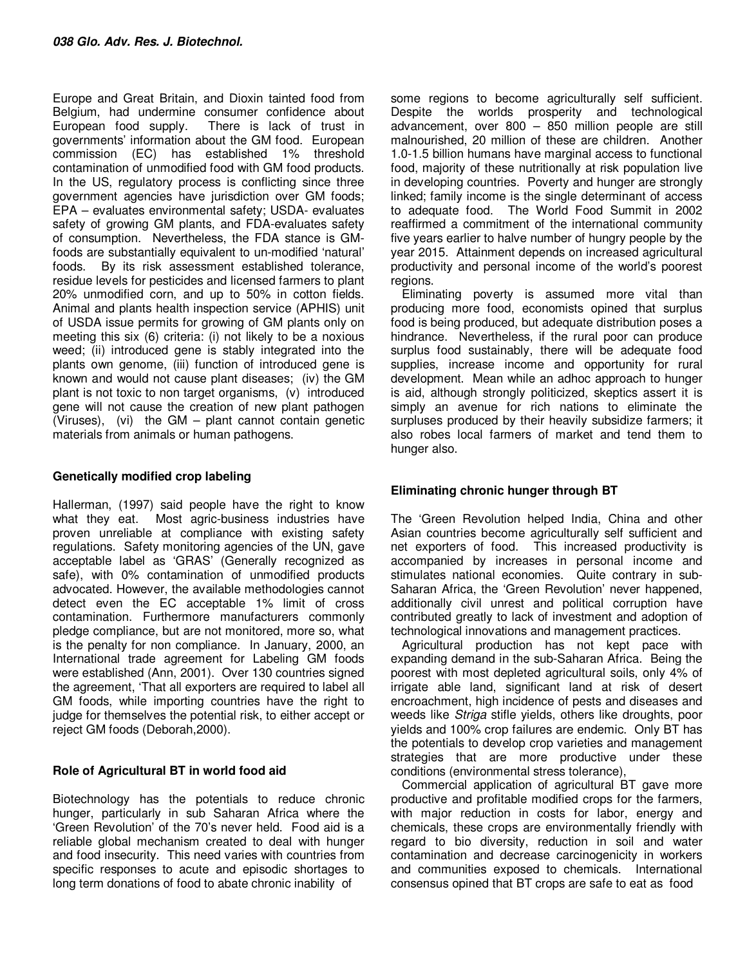Europe and Great Britain, and Dioxin tainted food from Belgium, had undermine consumer confidence about European food supply. There is lack of trust in governments' information about the GM food. European commission (EC) has established 1% threshold contamination of unmodified food with GM food products. In the US, regulatory process is conflicting since three government agencies have jurisdiction over GM foods; EPA – evaluates environmental safety; USDA- evaluates safety of growing GM plants, and FDA-evaluates safety of consumption. Nevertheless, the FDA stance is GMfoods are substantially equivalent to un-modified 'natural' foods. By its risk assessment established tolerance, residue levels for pesticides and licensed farmers to plant 20% unmodified corn, and up to 50% in cotton fields. Animal and plants health inspection service (APHIS) unit of USDA issue permits for growing of GM plants only on meeting this six (6) criteria: (i) not likely to be a noxious weed; (ii) introduced gene is stably integrated into the plants own genome, (iii) function of introduced gene is known and would not cause plant diseases; (iv) the GM plant is not toxic to non target organisms, (v) introduced gene will not cause the creation of new plant pathogen (Viruses), (vi) the GM – plant cannot contain genetic materials from animals or human pathogens.

# **Genetically modified crop labeling**

Hallerman, (1997) said people have the right to know what they eat. Most agric-business industries have proven unreliable at compliance with existing safety regulations. Safety monitoring agencies of the UN, gave acceptable label as 'GRAS' (Generally recognized as safe), with 0% contamination of unmodified products advocated. However, the available methodologies cannot detect even the EC acceptable 1% limit of cross contamination. Furthermore manufacturers commonly pledge compliance, but are not monitored, more so, what is the penalty for non compliance. In January, 2000, an International trade agreement for Labeling GM foods were established (Ann, 2001). Over 130 countries signed the agreement, 'That all exporters are required to label all GM foods, while importing countries have the right to judge for themselves the potential risk, to either accept or reject GM foods (Deborah,2000).

## **Role of Agricultural BT in world food aid**

Biotechnology has the potentials to reduce chronic hunger, particularly in sub Saharan Africa where the 'Green Revolution' of the 70's never held. Food aid is a reliable global mechanism created to deal with hunger and food insecurity. This need varies with countries from specific responses to acute and episodic shortages to long term donations of food to abate chronic inability of

some regions to become agriculturally self sufficient. Despite the worlds prosperity and technological advancement, over 800 – 850 million people are still malnourished, 20 million of these are children. Another 1.0-1.5 billion humans have marginal access to functional food, majority of these nutritionally at risk population live in developing countries. Poverty and hunger are strongly linked; family income is the single determinant of access to adequate food. The World Food Summit in 2002 reaffirmed a commitment of the international community five years earlier to halve number of hungry people by the year 2015. Attainment depends on increased agricultural productivity and personal income of the world's poorest regions.

Eliminating poverty is assumed more vital than producing more food, economists opined that surplus food is being produced, but adequate distribution poses a hindrance. Nevertheless, if the rural poor can produce surplus food sustainably, there will be adequate food supplies, increase income and opportunity for rural development. Mean while an adhoc approach to hunger is aid, although strongly politicized, skeptics assert it is simply an avenue for rich nations to eliminate the surpluses produced by their heavily subsidize farmers; it also robes local farmers of market and tend them to hunger also.

# **Eliminating chronic hunger through BT**

The 'Green Revolution helped India, China and other Asian countries become agriculturally self sufficient and net exporters of food. This increased productivity is accompanied by increases in personal income and stimulates national economies. Quite contrary in sub-Saharan Africa, the 'Green Revolution' never happened, additionally civil unrest and political corruption have contributed greatly to lack of investment and adoption of technological innovations and management practices.

Agricultural production has not kept pace with expanding demand in the sub-Saharan Africa. Being the poorest with most depleted agricultural soils, only 4% of irrigate able land, significant land at risk of desert encroachment, high incidence of pests and diseases and weeds like *Striga* stifle yields, others like droughts, poor yields and 100% crop failures are endemic. Only BT has the potentials to develop crop varieties and management strategies that are more productive under these conditions (environmental stress tolerance),

Commercial application of agricultural BT gave more productive and profitable modified crops for the farmers, with major reduction in costs for labor, energy and chemicals, these crops are environmentally friendly with regard to bio diversity, reduction in soil and water contamination and decrease carcinogenicity in workers and communities exposed to chemicals. International consensus opined that BT crops are safe to eat as food